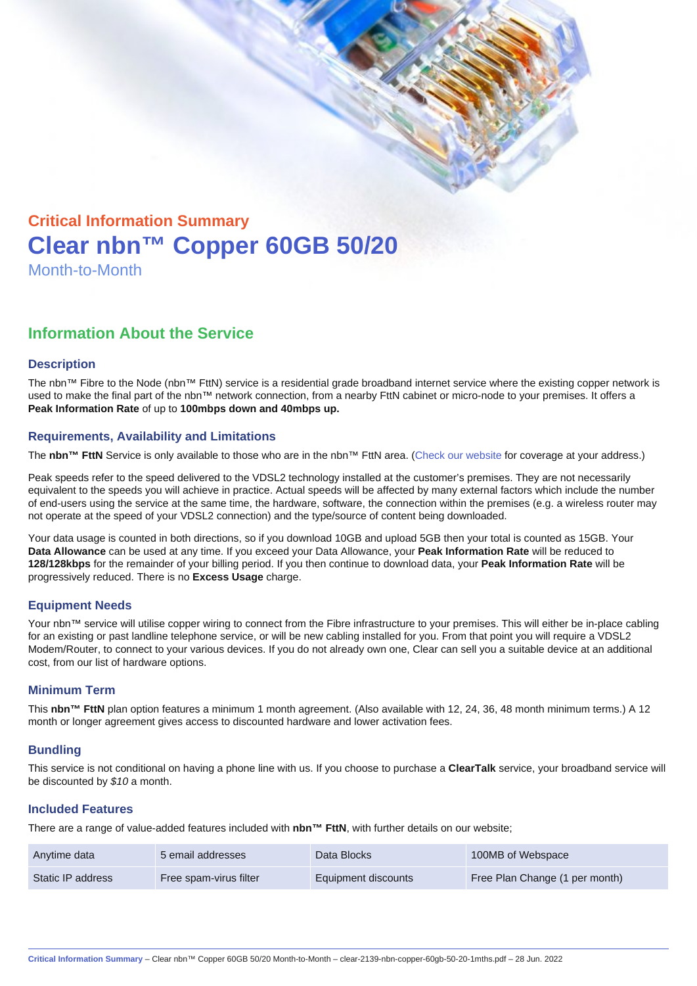# Critical Information Summary Clear nbn™ Copper 60GB 50/20 Month-to-Month

## Information About the Service

#### **Description**

The nbn™ Fibre to the Node (nbn™ FttN) service is a residential grade broadband internet service where the existing copper network is used to make the final part of the nbn™ network connection, from a nearby FttN cabinet or micro-node to your premises. It offers a Peak Information Rate of up to 100mbps down and 40mbps up.

#### Requirements, Availability and Limitations

The nbn™ FttN Service is only available to those who are in the nbn™ FttN area. ([Check our website](https://www.clear.com.au/business/nbn-fixed/) for coverage at your address.)

Peak speeds refer to the speed delivered to the VDSL2 technology installed at the customer's premises. They are not necessarily equivalent to the speeds you will achieve in practice. Actual speeds will be affected by many external factors which include the number of end-users using the service at the same time, the hardware, software, the connection within the premises (e.g. a wireless router may not operate at the speed of your VDSL2 connection) and the type/source of content being downloaded.

Your data usage is counted in both directions, so if you download 10GB and upload 5GB then your total is counted as 15GB. Your Data Allowance can be used at any time. If you exceed your Data Allowance, your Peak Information Rate will be reduced to 128/128kbps for the remainder of your billing period. If you then continue to download data, your Peak Information Rate will be progressively reduced. There is no Excess Usage charge.

#### Equipment Needs

Your nbn™ service will utilise copper wiring to connect from the Fibre infrastructure to your premises. This will either be in-place cabling for an existing or past landline telephone service, or will be new cabling installed for you. From that point you will require a VDSL2 Modem/Router, to connect to your various devices. If you do not already own one, Clear can sell you a suitable device at an additional cost, from our list of hardware options.

#### Minimum Term

This nbn™ FttN plan option features a minimum 1 month agreement. (Also available with 12, 24, 36, 48 month minimum terms.) A 12 month or longer agreement gives access to discounted hardware and lower activation fees.

#### **Bundling**

This service is not conditional on having a phone line with us. If you choose to purchase a ClearTalk service, your broadband service will be discounted by \$10 a month.

#### Included Features

There are a range of value-added features included with nbn™ FttN , with further details on our website;

| Anytime data      | 5 email addresses      | Data Blocks         | 100MB of Webspace              |
|-------------------|------------------------|---------------------|--------------------------------|
| Static IP address | Free spam-virus filter | Equipment discounts | Free Plan Change (1 per month) |